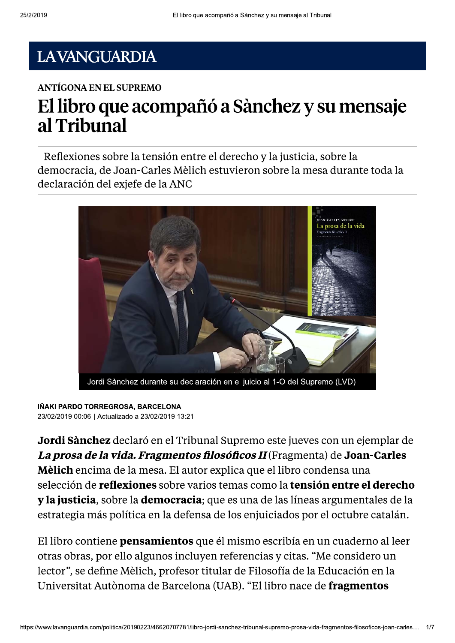#### **LAVANGUARDIA**

#### **ANTÍGONA EN EL SUPREMO**

# El libro que acompañó a Sànchez y su mensaje al Tribunal

Reflexiones sobre la tensión entre el derecho y la justicia, sobre la democracia, de Joan-Carles Mèlich estuvieron sobre la mesa durante toda la declaración del exjefe de la ANC



#### IÑAKI PARDO TORREGROSA, BARCELONA 23/02/2019 00:06 | Actualizado a 23/02/2019 13:21

Jordi Sànchez declaró en el Tribunal Supremo este jueves con un ejemplar de La prosa de la vida. Fragmentos filosóficos II (Fragmenta) de Joan-Carles Mèlich encima de la mesa. El autor explica que el libro condensa una selección de reflexiones sobre varios temas como la tensión entre el derecho y la justicia, sobre la democracia; que es una de las líneas argumentales de la estrategia más política en la defensa de los enjuiciados por el octubre catalán.

El libro contiene **pensamientos** que él mismo escribía en un cuaderno al leer otras obras, por ello algunos incluyen referencias y citas. "Me considero un lector", se define Mèlich, profesor titular de Filosofía de la Educación en la Universitat Autònoma de Barcelona (UAB). "El libro nace de fragmentos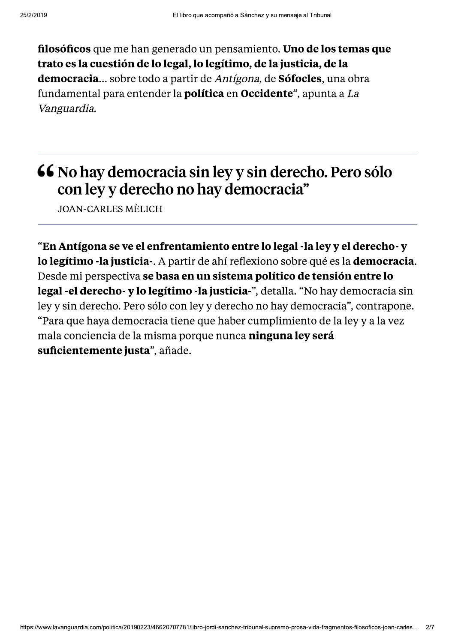filosóficos que me han generado un pensamiento. Uno de los temas que trato es la cuestión de lo legal, lo legítimo, de la justicia, de la democracia... sobre todo a partir de Antígona, de Sófocles, una obra fundamental para entender la **política** en **Occidente**", apunta a La Vanguardia.

#### 66 No hay democracia sin ley y sin derecho. Pero sólo con ley y derecho no hay democracia"

**JOAN-CARLES MÈLICH** 

"En Antígona se ve el enfrentamiento entre lo legal -la ley y el derecho- y lo legítimo -la justicia -. A partir de ahí reflexiono sobre qué es la democracia. Desde mi perspectiva se basa en un sistema político de tensión entre lo legal - el derecho - y lo legítimo - la justicia -", detalla. "No hay democracia sin ley y sin derecho. Pero sólo con ley y derecho no hay democracia", contrapone. "Para que haya democracia tiene que haber cumplimiento de la ley y a la vez mala conciencia de la misma porque nunca ninguna ley será suficientemente justa", añade.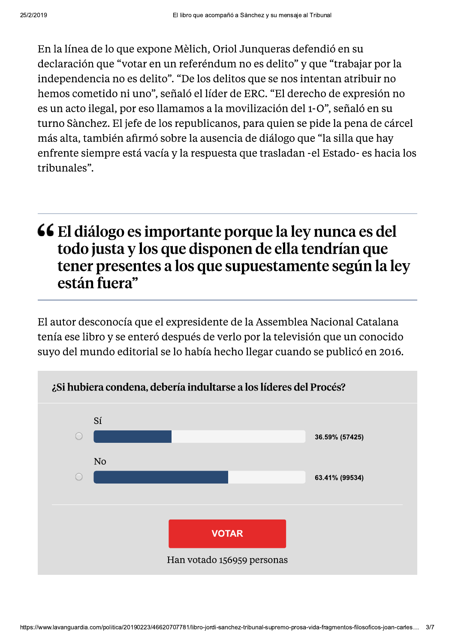En la línea de lo que expone Mèlich, Oriol Junqueras defendió en su declaración que "votar en un referéndum no es delito" y que "trabajar por la independencia no es delito". "De los delitos que se nos intentan atribuir no hemos cometido ni uno", señaló el líder de ERC. "El derecho de expresión no es un acto ilegal, por eso llamamos a la movilización del 1-0", señaló en su turno Sànchez. El jefe de los republicanos, para quien se pide la pena de cárcel más alta, también afirmó sobre la ausencia de diálogo que "la silla que hay enfrente siempre está vacía y la respuesta que trasladan -el Estado- es hacia los tribunales".

## 66 El diálogo es importante porque la ley nunca es del todo justa y los que disponen de ella tendrían que tener presentes a los que supuestamente según la ley están fuera"

El autor desconocía que el expresidente de la Assemblea Nacional Catalana tenía ese libro y se enteró después de verlo por la televisión que un conocido suyo del mundo editorial se lo había hecho llegar cuando se publicó en 2016.

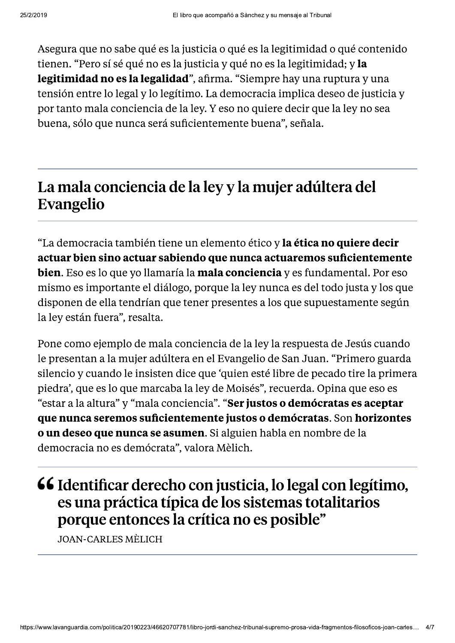Asegura que no sabe qué es la justicia o qué es la legitimidad o qué contenido tienen. "Pero sí sé qué no es la justicia y qué no es la legitimidad; y la legitimidad no es la legalidad", afirma. "Siempre hay una ruptura y una tensión entre lo legal y lo legítimo. La democracia implica deseo de justicia y por tanto mala conciencia de la ley. Y eso no quiere decir que la ley no sea buena, sólo que nunca será suficientemente buena", señala.

## La mala conciencia de la ley y la mujer adúltera del Evangelio

"La democracia también tiene un elemento ético y la ética no quiere decir actuar bien sino actuar sabiendo que nunca actuaremos suficientemente **bien.** Eso es lo que yo llamaría la **mala conciencia** y es fundamental. Por eso mismo es importante el diálogo, porque la ley nunca es del todo justa y los que disponen de ella tendrían que tener presentes a los que supuestamente según la ley están fuera", resalta.

Pone como ejemplo de mala conciencia de la ley la respuesta de Jesús cuando le presentan a la mujer adúltera en el Evangelio de San Juan. "Primero guarda" silencio y cuando le insisten dice que 'quien esté libre de pecado tire la primera piedra', que es lo que marcaba la ley de Moisés", recuerda. Opina que eso es "estar a la altura" y "mala conciencia". "Ser justos o demócratas es aceptar que nunca seremos suficientemente justos o demócratas. Son horizontes o un deseo que nunca se asumen. Si alguien habla en nombre de la democracia no es demócrata", valora Mèlich.

## 66 Identificar derecho con justicia, lo legal con legítimo, es una práctica típica de los sistemas totalitarios porque entonces la crítica no es posible"

**JOAN-CARLES MÈLICH**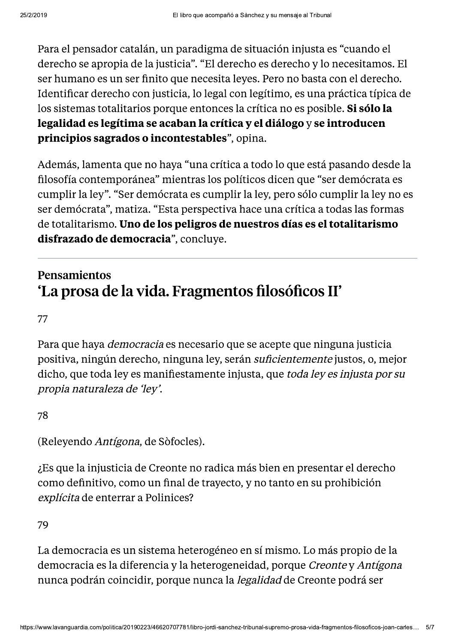Para el pensador catalán, un paradigma de situación injusta es "cuando el derecho se apropia de la justicia". "El derecho es derecho y lo necesitamos. El ser humano es un ser finito que necesita leyes. Pero no basta con el derecho. Identificar derecho con justicia, lo legal con legítimo, es una práctica típica de los sistemas totalitarios porque entonces la crítica no es posible. Si sólo la legalidad es legítima se acaban la crítica y el diálogo y se introducen principios sagrados o incontestables", opina.

Además, lamenta que no haya "una crítica a todo lo que está pasando desde la filosofía contemporánea" mientras los políticos dicen que "ser demócrata es cumplir la ley". "Ser demócrata es cumplir la ley, pero sólo cumplir la ley no es ser demócrata", matiza. "Esta perspectiva hace una crítica a todas las formas de totalitarismo. Uno de los peligros de nuestros días es el totalitarismo disfrazado de democracia", concluye.

#### Pensamientos 'La prosa de la vida. Fragmentos filosóficos II'

77

Para que haya *democracia* es necesario que se acepte que ninguna justicia positiva, ningún derecho, ninguna ley, serán *suficientemente* justos, o, mejor dicho, que toda ley es manifiestamente injusta, que *toda ley es injusta por su* propia naturaleza de 'ley'.

78

(Releyendo Antígona, de Sòfocles).

¿Es que la injusticia de Creonte no radica más bien en presentar el derecho como definitivo, como un final de trayecto, y no tanto en su prohibición explícita de enterrar a Polinices?

79

La democracia es un sistema heterogéneo en sí mismo. Lo más propio de la democracia es la diferencia y la heterogeneidad, porque Creonte y Antígona nunca podrán coincidir, porque nunca la *legalidad* de Creonte podrá ser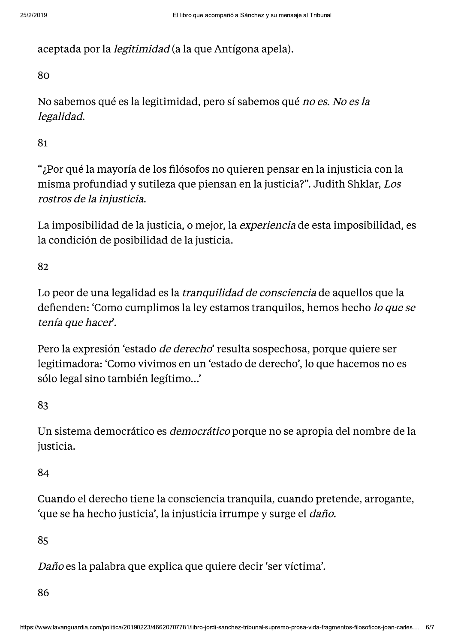aceptada por la *legitimidad* (a la que Antígona apela).

80

No sabemos qué es la legitimidad, pero sí sabemos qué no es. No es la legalidad.

81

"¿Por qué la mayoría de los filósofos no quieren pensar en la injusticia con la misma profundiad y sutileza que piensan en la justicia?". Judith Shklar, Los rostros de la injusticia.

La imposibilidad de la justicia, o mejor, la experiencia de esta imposibilidad, es la condición de posibilidad de la justicia.

82

Lo peor de una legalidad es la *tranquilidad de consciencia* de aquellos que la defienden: 'Como cumplimos la ley estamos tranquilos, hemos hecho lo que se tenía que hacer.

Pero la expresión 'estado *de derecho*' resulta sospechosa, porque quiere ser legitimadora: 'Como vivimos en un 'estado de derecho', lo que hacemos no es sólo legal sino también legítimo...'

83

Un sistema democrático es *democrático* porque no se apropia del nombre de la justicia.

84

Cuando el derecho tiene la consciencia tranguila, cuando pretende, arrogante, 'que se ha hecho justicia', la injusticia irrumpe y surge el *daño*.

85

Daño es la palabra que explica que quiere decir 'ser víctima'.

86